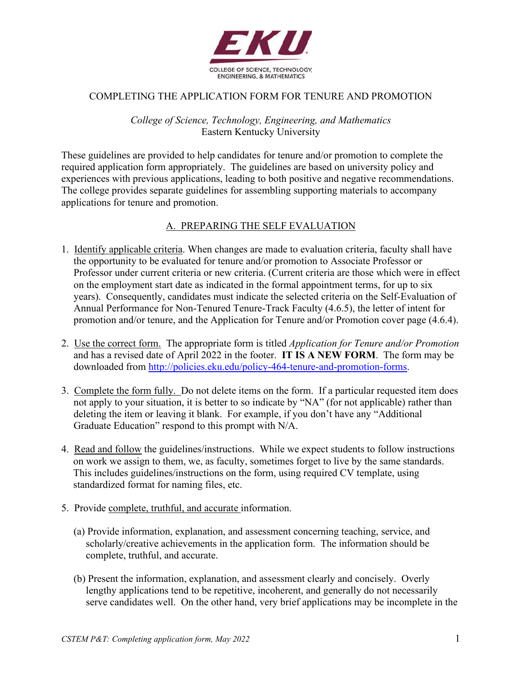

## COMPLETING THE APPLICATION FORM FOR TENURE AND PROMOTION

*College of Science, Technology, Engineering, and Mathematics* Eastern Kentucky University

These guidelines are provided to help candidates for tenure and/or promotion to complete the required application form appropriately. The guidelines are based on university policy and experiences with previous applications, leading to both positive and negative recommendations. The college provides separate guidelines for assembling supporting materials to accompany applications for tenure and promotion.

## A. PREPARING THE SELF EVALUATION

- 1. Identify applicable criteria. When changes are made to evaluation criteria, faculty shall have the opportunity to be evaluated for tenure and/or promotion to Associate Professor or Professor under current criteria or new criteria. (Current criteria are those which were in effect on the employment start date as indicated in the formal appointment terms, for up to six years). Consequently, candidates must indicate the selected criteria on the Self-Evaluation of Annual Performance for Non-Tenured Tenure-Track Faculty (4.6.5), the letter of intent for promotion and/or tenure, and the Application for Tenure and/or Promotion cover page (4.6.4).
- 2. Use the correct form. The appropriate form is titled *Application for Tenure and/or Promotion*  and has a revised date of April 2022 in the footer. **IT IS A NEW FORM**. The form may be downloaded from [http://policies.eku.edu/policy-464-tenure-and-promotion-forms.](http://policies.eku.edu/policy-464-tenure-and-promotion-forms)
- 3. Complete the form fully. Do not delete items on the form. If a particular requested item does not apply to your situation, it is better to so indicate by "NA" (for not applicable) rather than deleting the item or leaving it blank. For example, if you don't have any "Additional Graduate Education" respond to this prompt with N/A.
- 4. Read and follow the guidelines/instructions. While we expect students to follow instructions on work we assign to them, we, as faculty, sometimes forget to live by the same standards. This includes guidelines/instructions on the form, using required CV template, using standardized format for naming files, etc.
- 5. Provide complete, truthful, and accurate information.
	- (a) Provide information, explanation, and assessment concerning teaching, service, and scholarly/creative achievements in the application form. The information should be complete, truthful, and accurate.
	- (b) Present the information, explanation, and assessment clearly and concisely. Overly lengthy applications tend to be repetitive, incoherent, and generally do not necessarily serve candidates well. On the other hand, very brief applications may be incomplete in the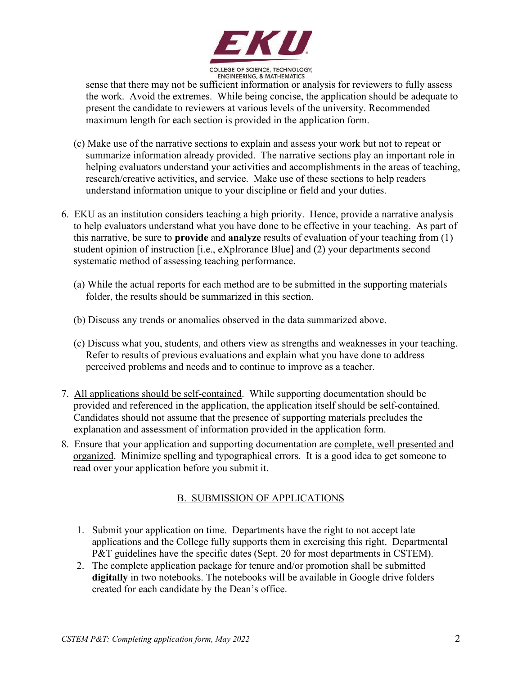

sense that there may not be sufficient information or analysis for reviewers to fully assess the work. Avoid the extremes. While being concise, the application should be adequate to present the candidate to reviewers at various levels of the university. Recommended maximum length for each section is provided in the application form.

- (c) Make use of the narrative sections to explain and assess your work but not to repeat or summarize information already provided. The narrative sections play an important role in helping evaluators understand your activities and accomplishments in the areas of teaching, research/creative activities, and service. Make use of these sections to help readers understand information unique to your discipline or field and your duties.
- 6. EKU as an institution considers teaching a high priority. Hence, provide a narrative analysis to help evaluators understand what you have done to be effective in your teaching. As part of this narrative, be sure to **provide** and **analyze** results of evaluation of your teaching from (1) student opinion of instruction [i.e., eXplrorance Blue] and (2) your departments second systematic method of assessing teaching performance.
	- (a) While the actual reports for each method are to be submitted in the supporting materials folder, the results should be summarized in this section.
	- (b) Discuss any trends or anomalies observed in the data summarized above.
	- (c) Discuss what you, students, and others view as strengths and weaknesses in your teaching. Refer to results of previous evaluations and explain what you have done to address perceived problems and needs and to continue to improve as a teacher.
- 7. All applications should be self-contained. While supporting documentation should be provided and referenced in the application, the application itself should be self-contained. Candidates should not assume that the presence of supporting materials precludes the explanation and assessment of information provided in the application form.
- 8. Ensure that your application and supporting documentation are complete, well presented and organized. Minimize spelling and typographical errors. It is a good idea to get someone to read over your application before you submit it.

## B. SUBMISSION OF APPLICATIONS

- 1. Submit your application on time. Departments have the right to not accept late applications and the College fully supports them in exercising this right. Departmental P&T guidelines have the specific dates (Sept. 20 for most departments in CSTEM).
- 2. The complete application package for tenure and/or promotion shall be submitted **digitally** in two notebooks. The notebooks will be available in Google drive folders created for each candidate by the Dean's office.